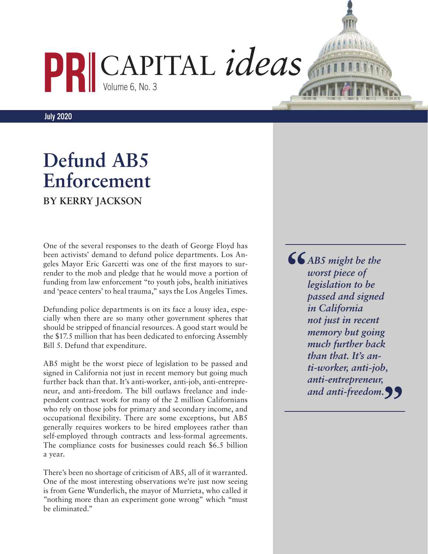## CAPITAL *ideas* Volume 6, No. 3

**July 2020**

## **Defund AB5 Enforcement BY KERRY JACKSON**

One of the several responses to the death of George Floyd has been activists' demand to defund police departments. Los Angeles Mayor Eric Garcetti was one of the first mayors to surrender to the mob and pledge that he would move a portion of funding from law enforcement "to youth jobs, health initiatives and 'peace centers' to heal trauma," says the Los Angeles Times.

Defunding police departments is on its face a lousy idea, especially when there are so many other government spheres that should be stripped of financial resources. A good start would be the \$17.5 million that has been dedicated to enforcing Assembly Bill 5. Defund that expenditure.

AB5 might be the worst piece of legislation to be passed and signed in California not just in recent memory but going much further back than that. It's [anti-worker](https://www.pacificresearch.org/worker-freedom-no-more/), [anti-job,](https://www.pacificresearch.org/is-there-any-way-to-escape-punishment-of-ab5/) [anti-entrepre](https://calmatters.org/commentary/why-does-legislature-want-californians-to-work-for-corporations/)[neur,](https://calmatters.org/commentary/why-does-legislature-want-californians-to-work-for-corporations/) and [anti-freedom](https://www.pacificresearch.org/workers-freedom-at-risk-in-california/). The bill outlaws freelance and independent contract work for many of the 2 million Californians who rely on those jobs for primary and secondary income, and occupational flexibility. There are some exceptions, but AB5 generally requires workers to be hired employees rather than self-employed through contracts and less-formal agreements. The compliance costs for businesses could reach [\\$6.5 billion](https://www.pacificresearch.org/gig-economy-firms-fight-california-overreach-with-110-million-initiative/) [a year.](https://www.pacificresearch.org/gig-economy-firms-fight-california-overreach-with-110-million-initiative/)

There's been no shortage of criticism of AB5, all of it warranted. One of the most interesting observations we're just now seeing is from Gene Wunderlich, the mayor of Murrieta, who called it "nothing more than [an experiment gone wrong"](http://www.flashreport.org/blog/2020/06/24/everyone-suffers-under-ab-5/) which "must be eliminated."

*AB5 might be the worst piece of legislation to be passed and signed in California not just in recent memory but going much further back than that. It's [an](https://www.pacificresearch.org/worker-freedom-no-more/)[ti-worker](https://www.pacificresearch.org/worker-freedom-no-more/), [anti-job,](https://www.pacificresearch.org/is-there-any-way-to-escape-punishment-of-ab5/) [anti-entrepreneur,](https://calmatters.org/commentary/why-does-legislature-want-californians-to-work-for-corporations/)*  and [anti-freedom.](https://www.pacificresearch.org/workers-freedom-at-risk-in-california/) **() "**